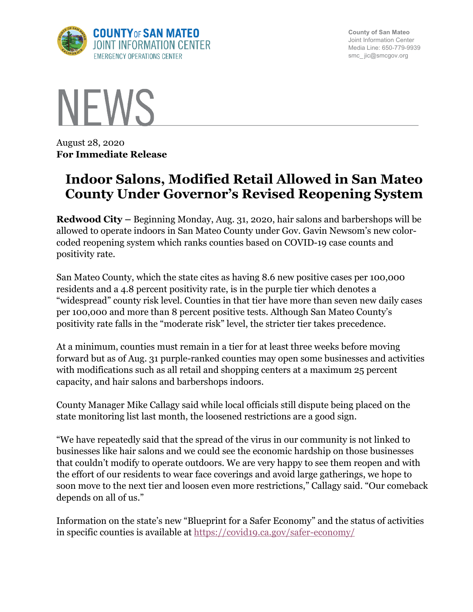

**County of San Mateo** Joint Information Center Media Line: 650-779-9939 smc\_ jic@smcgov.org



August 28, 2020 **For Immediate Release**

## **Indoor Salons, Modified Retail Allowed in San Mateo County Under Governor's Revised Reopening System**

**Redwood City –** Beginning Monday, Aug. 31, 2020, hair salons and barbershops will be allowed to operate indoors in San Mateo County under Gov. Gavin Newsom's new colorcoded reopening system which ranks counties based on COVID-19 case counts and positivity rate.

San Mateo County, which the state cites as having 8.6 new positive cases per 100,000 residents and a 4.8 percent positivity rate, is in the purple tier which denotes a "widespread" county risk level. Counties in that tier have more than seven new daily cases per 100,000 and more than 8 percent positive tests. Although San Mateo County's positivity rate falls in the "moderate risk" level, the stricter tier takes precedence.

At a minimum, counties must remain in a tier for at least three weeks before moving forward but as of Aug. 31 purple-ranked counties may open some businesses and activities with modifications such as all retail and shopping centers at a maximum 25 percent capacity, and hair salons and barbershops indoors.

County Manager Mike Callagy said while local officials still dispute being placed on the state monitoring list last month, the loosened restrictions are a good sign.

"We have repeatedly said that the spread of the virus in our community is not linked to businesses like hair salons and we could see the economic hardship on those businesses that couldn't modify to operate outdoors. We are very happy to see them reopen and with the effort of our residents to wear face coverings and avoid large gatherings, we hope to soon move to the next tier and loosen even more restrictions," Callagy said. "Our comeback depends on all of us."

Information on the state's new "Blueprint for a Safer Economy" and the status of activities in specific counties is available at https://covid19.ca.gov/safer-economy/